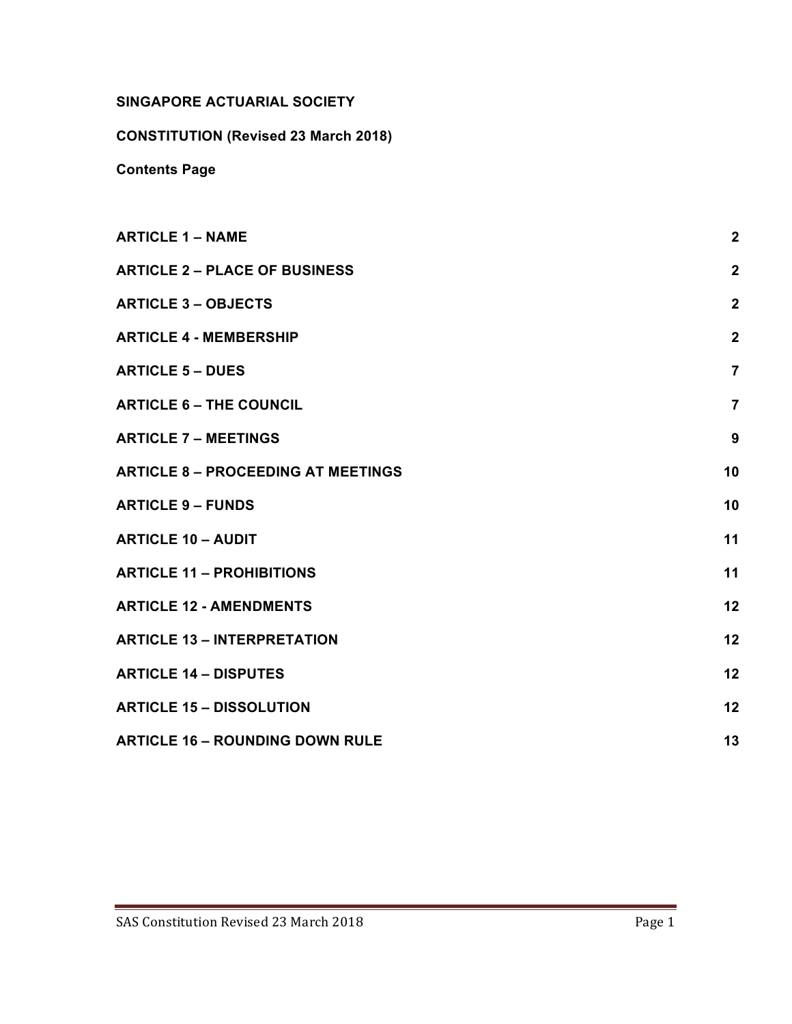# **SINGAPORE ACTUARIAL SOCIETY**

**CONSTITUTION (Revised 23 March 2018)**

**Contents Page**

| <b>ARTICLE 1 - NAME</b>                   | $\overline{2}$ |
|-------------------------------------------|----------------|
| <b>ARTICLE 2 – PLACE OF BUSINESS</b>      | $\overline{2}$ |
| <b>ARTICLE 3 - OBJECTS</b>                | $\overline{2}$ |
| <b>ARTICLE 4 - MEMBERSHIP</b>             | $\overline{2}$ |
| <b>ARTICLE 5 - DUES</b>                   | $\overline{7}$ |
| <b>ARTICLE 6 - THE COUNCIL</b>            | $\overline{7}$ |
| <b>ARTICLE 7 - MEETINGS</b>               | 9              |
| <b>ARTICLE 8 - PROCEEDING AT MEETINGS</b> | 10             |
| <b>ARTICLE 9 - FUNDS</b>                  | 10             |
| <b>ARTICLE 10 - AUDIT</b>                 | 11             |
| <b>ARTICLE 11 - PROHIBITIONS</b>          | 11             |
| <b>ARTICLE 12 - AMENDMENTS</b>            | 12             |
| <b>ARTICLE 13 - INTERPRETATION</b>        | 12             |
| <b>ARTICLE 14 - DISPUTES</b>              | 12             |
| <b>ARTICLE 15 - DISSOLUTION</b>           | 12             |
| <b>ARTICLE 16 - ROUNDING DOWN RULE</b>    | 13             |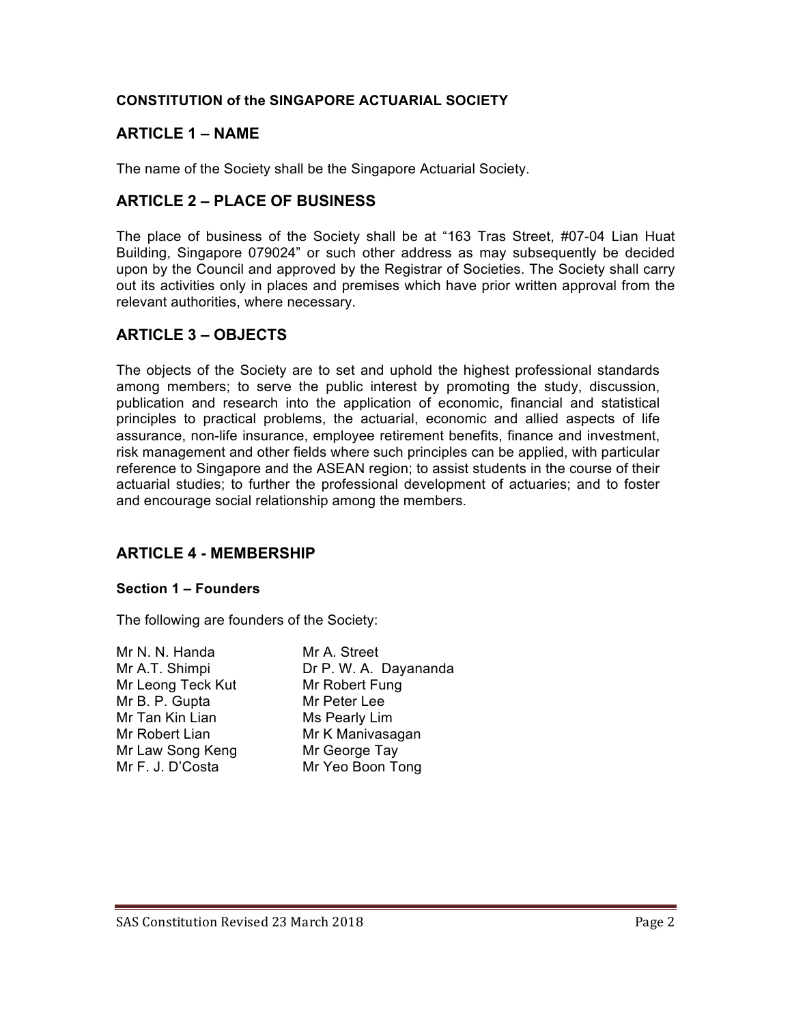## **CONSTITUTION of the SINGAPORE ACTUARIAL SOCIETY**

# **ARTICLE 1 – NAME**

The name of the Society shall be the Singapore Actuarial Society.

# **ARTICLE 2 – PLACE OF BUSINESS**

The place of business of the Society shall be at "163 Tras Street, #07-04 Lian Huat Building, Singapore 079024" or such other address as may subsequently be decided upon by the Council and approved by the Registrar of Societies. The Society shall carry out its activities only in places and premises which have prior written approval from the relevant authorities, where necessary.

# **ARTICLE 3 – OBJECTS**

The objects of the Society are to set and uphold the highest professional standards among members; to serve the public interest by promoting the study, discussion, publication and research into the application of economic, financial and statistical principles to practical problems, the actuarial, economic and allied aspects of life assurance, non-life insurance, employee retirement benefits, finance and investment, risk management and other fields where such principles can be applied, with particular reference to Singapore and the ASEAN region; to assist students in the course of their actuarial studies; to further the professional development of actuaries; and to foster and encourage social relationship among the members.

# **ARTICLE 4 - MEMBERSHIP**

#### **Section 1 – Founders**

The following are founders of the Society:

| Mr N. N. Handa    | Mr A. Street          |
|-------------------|-----------------------|
| Mr A.T. Shimpi    | Dr P. W. A. Dayananda |
| Mr Leong Teck Kut | Mr Robert Fung        |
| Mr B. P. Gupta    | Mr Peter Lee          |
| Mr Tan Kin Lian   | Ms Pearly Lim         |
| Mr Robert Lian    | Mr K Manivasagan      |
| Mr Law Song Keng  | Mr George Tay         |
| Mr F. J. D'Costa  | Mr Yeo Boon Tong      |
|                   |                       |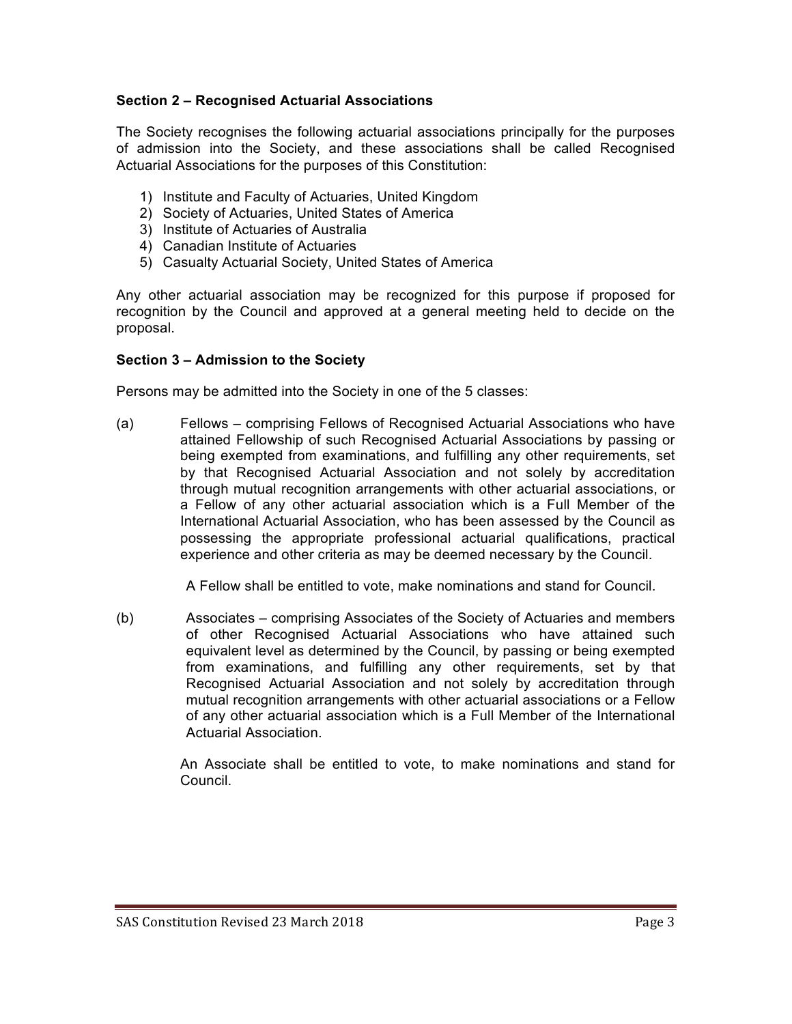## **Section 2 – Recognised Actuarial Associations**

The Society recognises the following actuarial associations principally for the purposes of admission into the Society, and these associations shall be called Recognised Actuarial Associations for the purposes of this Constitution:

- 1) Institute and Faculty of Actuaries, United Kingdom
- 2) Society of Actuaries, United States of America
- 3) Institute of Actuaries of Australia
- 4) Canadian Institute of Actuaries
- 5) Casualty Actuarial Society, United States of America

Any other actuarial association may be recognized for this purpose if proposed for recognition by the Council and approved at a general meeting held to decide on the proposal.

#### **Section 3 – Admission to the Society**

Persons may be admitted into the Society in one of the 5 classes:

(a) Fellows – comprising Fellows of Recognised Actuarial Associations who have attained Fellowship of such Recognised Actuarial Associations by passing or being exempted from examinations, and fulfilling any other requirements, set by that Recognised Actuarial Association and not solely by accreditation through mutual recognition arrangements with other actuarial associations, or a Fellow of any other actuarial association which is a Full Member of the International Actuarial Association, who has been assessed by the Council as possessing the appropriate professional actuarial qualifications, practical experience and other criteria as may be deemed necessary by the Council.

A Fellow shall be entitled to vote, make nominations and stand for Council.

(b) Associates – comprising Associates of the Society of Actuaries and members of other Recognised Actuarial Associations who have attained such equivalent level as determined by the Council, by passing or being exempted from examinations, and fulfilling any other requirements, set by that Recognised Actuarial Association and not solely by accreditation through mutual recognition arrangements with other actuarial associations or a Fellow of any other actuarial association which is a Full Member of the International Actuarial Association.

> An Associate shall be entitled to vote, to make nominations and stand for Council.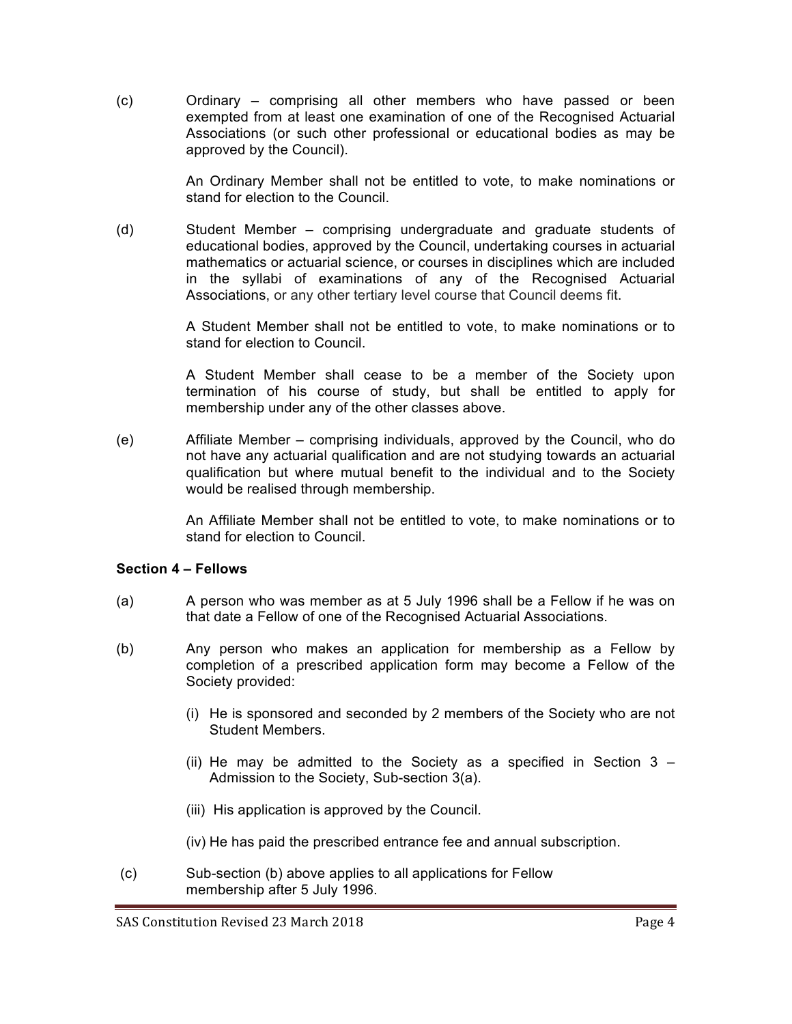(c) Ordinary – comprising all other members who have passed or been exempted from at least one examination of one of the Recognised Actuarial Associations (or such other professional or educational bodies as may be approved by the Council).

> An Ordinary Member shall not be entitled to vote, to make nominations or stand for election to the Council.

(d) Student Member – comprising undergraduate and graduate students of educational bodies, approved by the Council, undertaking courses in actuarial mathematics or actuarial science, or courses in disciplines which are included in the syllabi of examinations of any of the Recognised Actuarial Associations, or any other tertiary level course that Council deems fit.

> A Student Member shall not be entitled to vote, to make nominations or to stand for election to Council.

> A Student Member shall cease to be a member of the Society upon termination of his course of study, but shall be entitled to apply for membership under any of the other classes above.

(e) Affiliate Member – comprising individuals, approved by the Council, who do not have any actuarial qualification and are not studying towards an actuarial qualification but where mutual benefit to the individual and to the Society would be realised through membership.

> An Affiliate Member shall not be entitled to vote, to make nominations or to stand for election to Council.

### **Section 4 – Fellows**

- (a) A person who was member as at 5 July 1996 shall be a Fellow if he was on that date a Fellow of one of the Recognised Actuarial Associations.
- (b) Any person who makes an application for membership as a Fellow by completion of a prescribed application form may become a Fellow of the Society provided:
	- (i) He is sponsored and seconded by 2 members of the Society who are not Student Members.
	- (ii) He may be admitted to the Society as a specified in Section 3 Admission to the Society, Sub-section 3(a).
	- (iii) His application is approved by the Council.

(iv) He has paid the prescribed entrance fee and annual subscription.

(c) Sub-section (b) above applies to all applications for Fellow membership after 5 July 1996.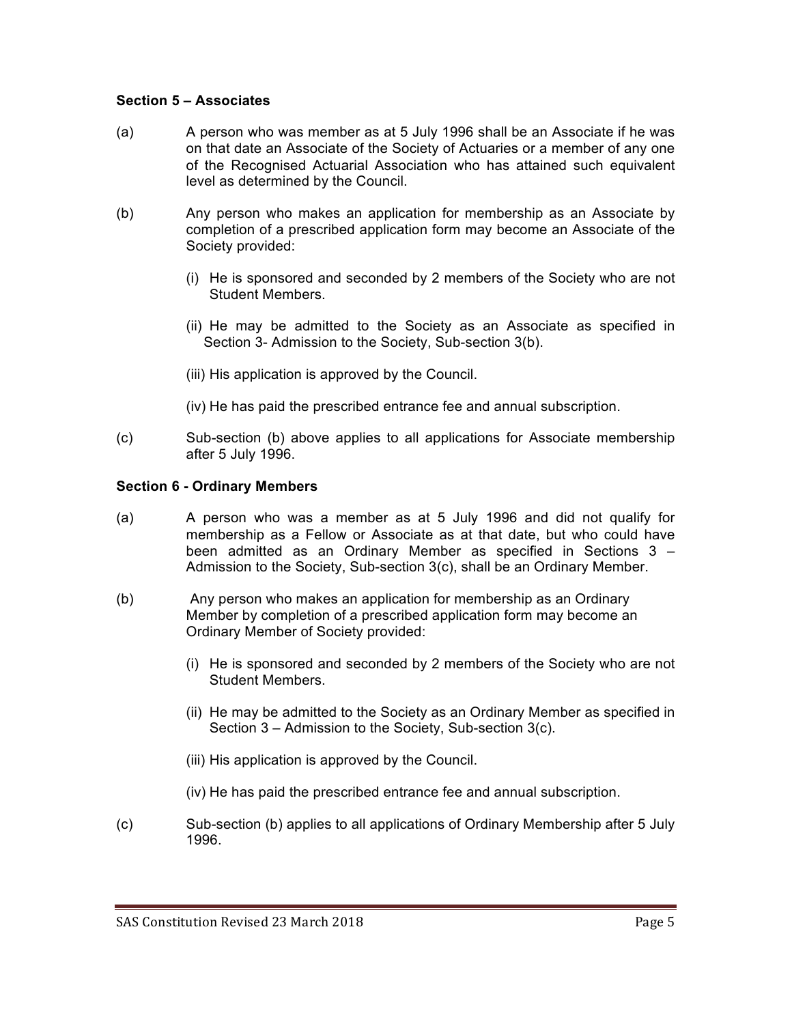### **Section 5 – Associates**

- (a) A person who was member as at 5 July 1996 shall be an Associate if he was on that date an Associate of the Society of Actuaries or a member of any one of the Recognised Actuarial Association who has attained such equivalent level as determined by the Council.
- (b) Any person who makes an application for membership as an Associate by completion of a prescribed application form may become an Associate of the Society provided:
	- (i) He is sponsored and seconded by 2 members of the Society who are not Student Members.
	- (ii) He may be admitted to the Society as an Associate as specified in Section 3- Admission to the Society, Sub-section 3(b).
	- (iii) His application is approved by the Council.
	- (iv) He has paid the prescribed entrance fee and annual subscription.
- (c) Sub-section (b) above applies to all applications for Associate membership after 5 July 1996.

#### **Section 6 - Ordinary Members**

- (a) A person who was a member as at 5 July 1996 and did not qualify for membership as a Fellow or Associate as at that date, but who could have been admitted as an Ordinary Member as specified in Sections 3 – Admission to the Society, Sub-section 3(c), shall be an Ordinary Member.
- (b) Any person who makes an application for membership as an Ordinary Member by completion of a prescribed application form may become an Ordinary Member of Society provided:
	- (i) He is sponsored and seconded by 2 members of the Society who are not Student Members.
	- (ii) He may be admitted to the Society as an Ordinary Member as specified in Section 3 – Admission to the Society, Sub-section 3(c).
	- (iii) His application is approved by the Council.
	- (iv) He has paid the prescribed entrance fee and annual subscription.
- (c) Sub-section (b) applies to all applications of Ordinary Membership after 5 July 1996.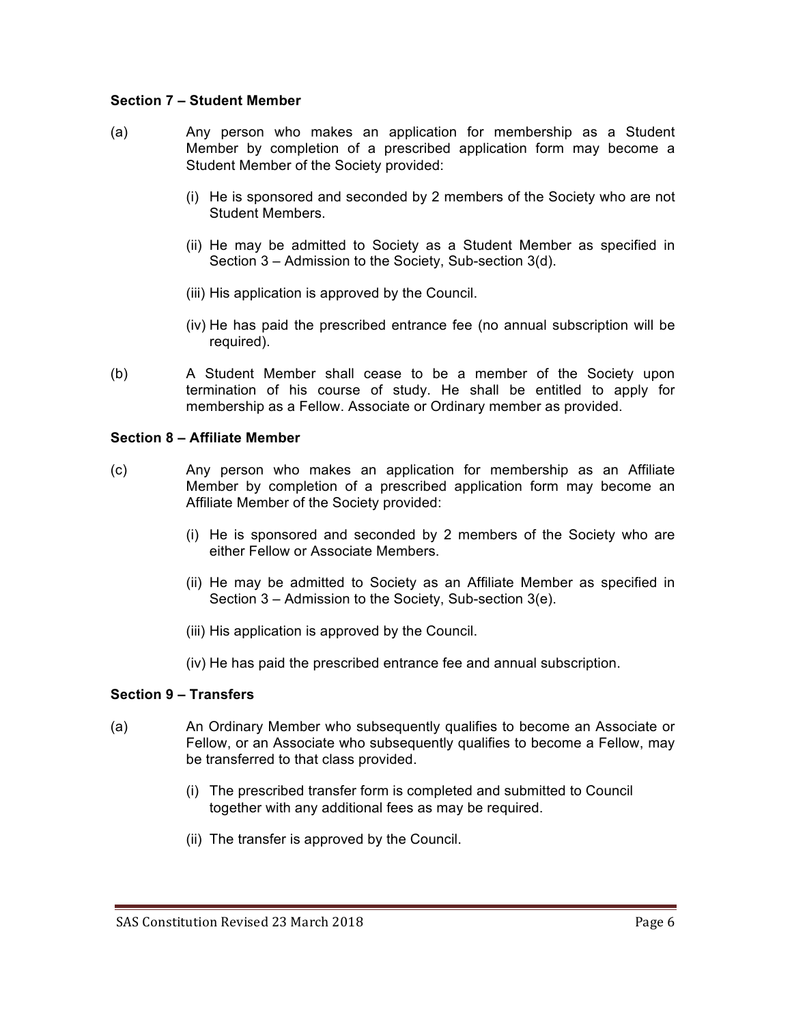### **Section 7 – Student Member**

- (a) Any person who makes an application for membership as a Student Member by completion of a prescribed application form may become a Student Member of the Society provided:
	- (i) He is sponsored and seconded by 2 members of the Society who are not Student Members.
	- (ii) He may be admitted to Society as a Student Member as specified in Section 3 – Admission to the Society, Sub-section 3(d).
	- (iii) His application is approved by the Council.
	- (iv) He has paid the prescribed entrance fee (no annual subscription will be required).
- (b) A Student Member shall cease to be a member of the Society upon termination of his course of study. He shall be entitled to apply for membership as a Fellow. Associate or Ordinary member as provided.

#### **Section 8 – Affiliate Member**

- (c) Any person who makes an application for membership as an Affiliate Member by completion of a prescribed application form may become an Affiliate Member of the Society provided:
	- (i) He is sponsored and seconded by 2 members of the Society who are either Fellow or Associate Members.
	- (ii) He may be admitted to Society as an Affiliate Member as specified in Section 3 – Admission to the Society, Sub-section 3(e).
	- (iii) His application is approved by the Council.
	- (iv) He has paid the prescribed entrance fee and annual subscription.

#### **Section 9 – Transfers**

- (a) An Ordinary Member who subsequently qualifies to become an Associate or Fellow, or an Associate who subsequently qualifies to become a Fellow, may be transferred to that class provided.
	- (i) The prescribed transfer form is completed and submitted to Council together with any additional fees as may be required.
	- (ii) The transfer is approved by the Council.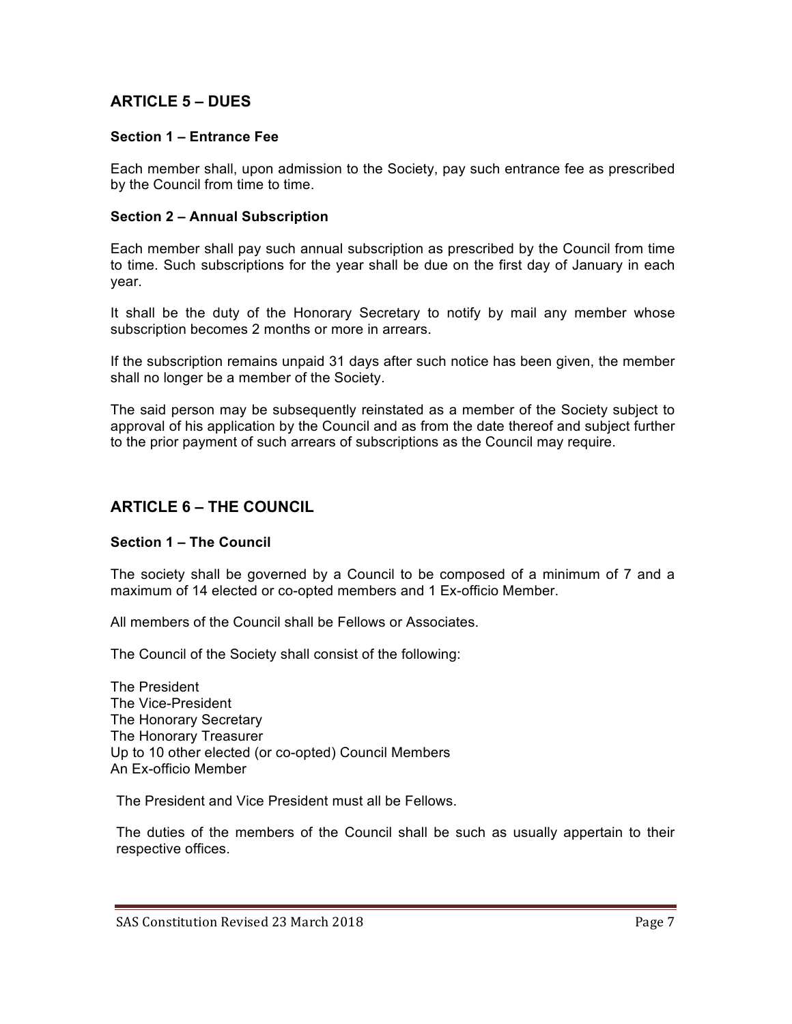# **ARTICLE 5 – DUES**

### **Section 1 – Entrance Fee**

Each member shall, upon admission to the Society, pay such entrance fee as prescribed by the Council from time to time.

#### **Section 2 – Annual Subscription**

Each member shall pay such annual subscription as prescribed by the Council from time to time. Such subscriptions for the year shall be due on the first day of January in each year.

It shall be the duty of the Honorary Secretary to notify by mail any member whose subscription becomes 2 months or more in arrears.

If the subscription remains unpaid 31 days after such notice has been given, the member shall no longer be a member of the Society.

The said person may be subsequently reinstated as a member of the Society subject to approval of his application by the Council and as from the date thereof and subject further to the prior payment of such arrears of subscriptions as the Council may require.

## **ARTICLE 6 – THE COUNCIL**

### **Section 1 – The Council**

The society shall be governed by a Council to be composed of a minimum of 7 and a maximum of 14 elected or co-opted members and 1 Ex-officio Member.

All members of the Council shall be Fellows or Associates.

The Council of the Society shall consist of the following:

The President The Vice-President The Honorary Secretary The Honorary Treasurer Up to 10 other elected (or co-opted) Council Members An Ex-officio Member

The President and Vice President must all be Fellows.

The duties of the members of the Council shall be such as usually appertain to their respective offices.

SAS Constitution Revised 23 March 2018 **Page 7** Page 7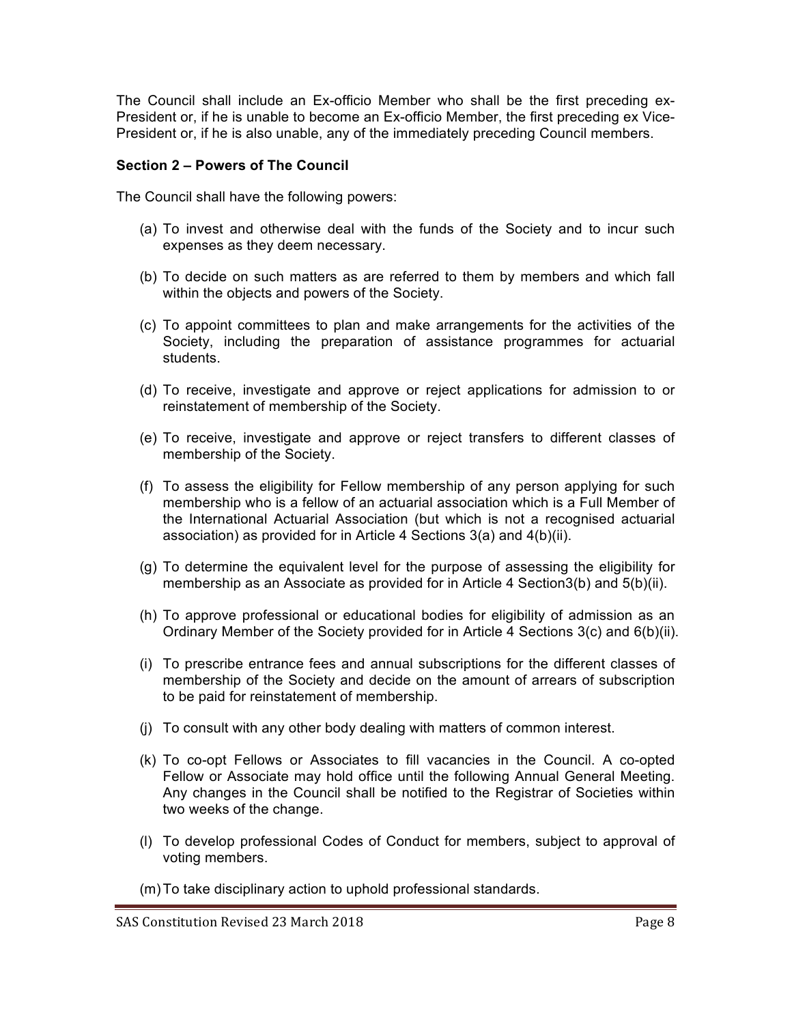The Council shall include an Ex-officio Member who shall be the first preceding ex-President or, if he is unable to become an Ex-officio Member, the first preceding ex Vice-President or, if he is also unable, any of the immediately preceding Council members.

### **Section 2 – Powers of The Council**

The Council shall have the following powers:

- (a) To invest and otherwise deal with the funds of the Society and to incur such expenses as they deem necessary.
- (b) To decide on such matters as are referred to them by members and which fall within the objects and powers of the Society.
- (c) To appoint committees to plan and make arrangements for the activities of the Society, including the preparation of assistance programmes for actuarial students.
- (d) To receive, investigate and approve or reject applications for admission to or reinstatement of membership of the Society.
- (e) To receive, investigate and approve or reject transfers to different classes of membership of the Society.
- (f) To assess the eligibility for Fellow membership of any person applying for such membership who is a fellow of an actuarial association which is a Full Member of the International Actuarial Association (but which is not a recognised actuarial association) as provided for in Article 4 Sections 3(a) and 4(b)(ii).
- (g) To determine the equivalent level for the purpose of assessing the eligibility for membership as an Associate as provided for in Article 4 Section3(b) and 5(b)(ii).
- (h) To approve professional or educational bodies for eligibility of admission as an Ordinary Member of the Society provided for in Article 4 Sections 3(c) and 6(b)(ii).
- (i) To prescribe entrance fees and annual subscriptions for the different classes of membership of the Society and decide on the amount of arrears of subscription to be paid for reinstatement of membership.
- (j) To consult with any other body dealing with matters of common interest.
- (k) To co-opt Fellows or Associates to fill vacancies in the Council. A co-opted Fellow or Associate may hold office until the following Annual General Meeting. Any changes in the Council shall be notified to the Registrar of Societies within two weeks of the change.
- (l) To develop professional Codes of Conduct for members, subject to approval of voting members.
- (m)To take disciplinary action to uphold professional standards.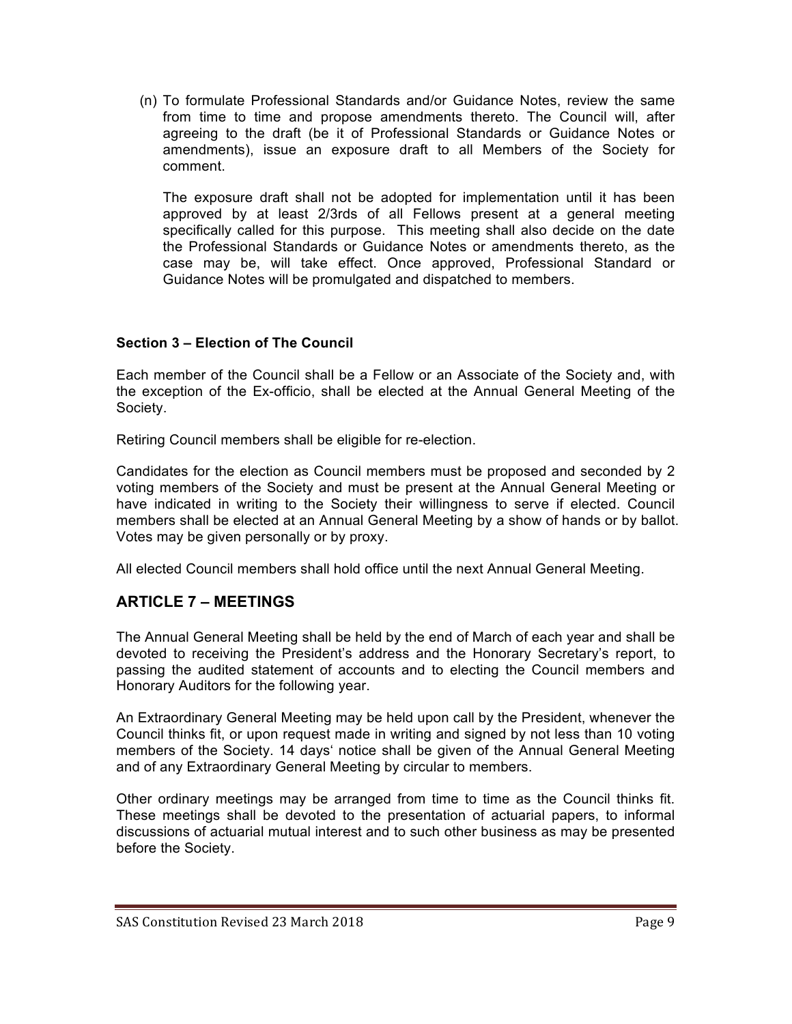(n) To formulate Professional Standards and/or Guidance Notes, review the same from time to time and propose amendments thereto. The Council will, after agreeing to the draft (be it of Professional Standards or Guidance Notes or amendments), issue an exposure draft to all Members of the Society for comment.

The exposure draft shall not be adopted for implementation until it has been approved by at least 2/3rds of all Fellows present at a general meeting specifically called for this purpose. This meeting shall also decide on the date the Professional Standards or Guidance Notes or amendments thereto, as the case may be, will take effect. Once approved, Professional Standard or Guidance Notes will be promulgated and dispatched to members.

## **Section 3 – Election of The Council**

Each member of the Council shall be a Fellow or an Associate of the Society and, with the exception of the Ex-officio, shall be elected at the Annual General Meeting of the Society.

Retiring Council members shall be eligible for re-election.

Candidates for the election as Council members must be proposed and seconded by 2 voting members of the Society and must be present at the Annual General Meeting or have indicated in writing to the Society their willingness to serve if elected. Council members shall be elected at an Annual General Meeting by a show of hands or by ballot. Votes may be given personally or by proxy.

All elected Council members shall hold office until the next Annual General Meeting.

# **ARTICLE 7 – MEETINGS**

The Annual General Meeting shall be held by the end of March of each year and shall be devoted to receiving the President's address and the Honorary Secretary's report, to passing the audited statement of accounts and to electing the Council members and Honorary Auditors for the following year.

An Extraordinary General Meeting may be held upon call by the President, whenever the Council thinks fit, or upon request made in writing and signed by not less than 10 voting members of the Society. 14 days' notice shall be given of the Annual General Meeting and of any Extraordinary General Meeting by circular to members.

Other ordinary meetings may be arranged from time to time as the Council thinks fit. These meetings shall be devoted to the presentation of actuarial papers, to informal discussions of actuarial mutual interest and to such other business as may be presented before the Society.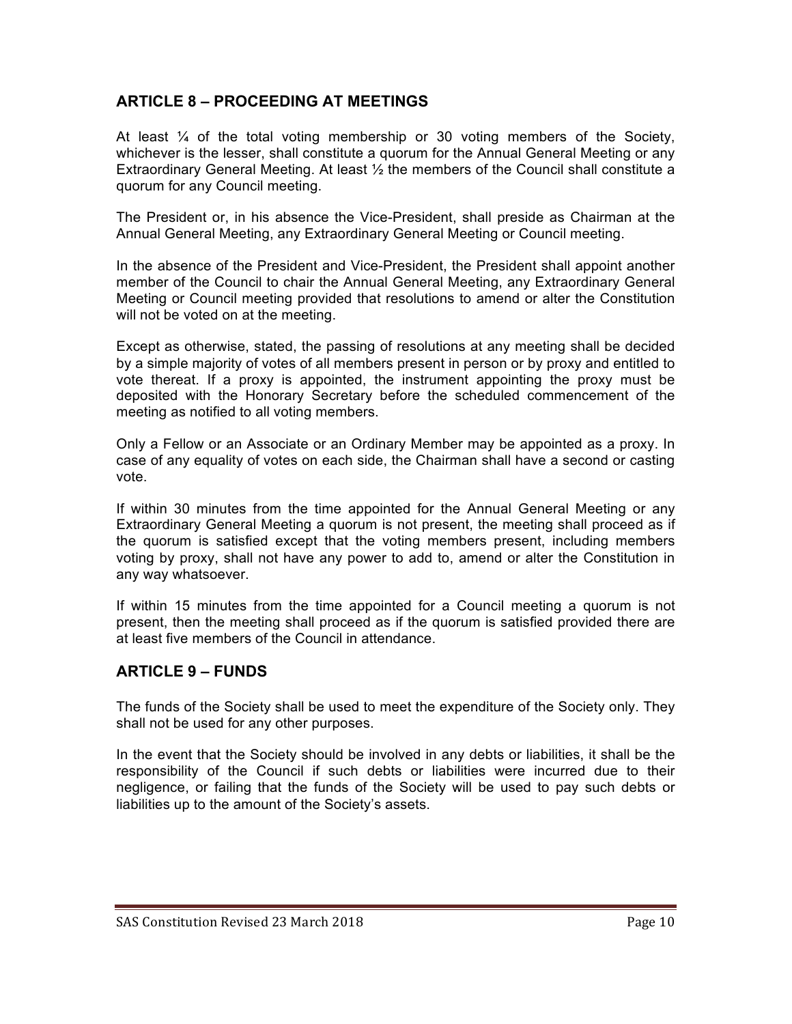# **ARTICLE 8 – PROCEEDING AT MEETINGS**

At least  $\frac{1}{4}$  of the total voting membership or 30 voting members of the Society, whichever is the lesser, shall constitute a quorum for the Annual General Meeting or any Extraordinary General Meeting. At least  $\frac{1}{2}$  the members of the Council shall constitute a quorum for any Council meeting.

The President or, in his absence the Vice-President, shall preside as Chairman at the Annual General Meeting, any Extraordinary General Meeting or Council meeting.

In the absence of the President and Vice-President, the President shall appoint another member of the Council to chair the Annual General Meeting, any Extraordinary General Meeting or Council meeting provided that resolutions to amend or alter the Constitution will not be voted on at the meeting.

Except as otherwise, stated, the passing of resolutions at any meeting shall be decided by a simple majority of votes of all members present in person or by proxy and entitled to vote thereat. If a proxy is appointed, the instrument appointing the proxy must be deposited with the Honorary Secretary before the scheduled commencement of the meeting as notified to all voting members.

Only a Fellow or an Associate or an Ordinary Member may be appointed as a proxy. In case of any equality of votes on each side, the Chairman shall have a second or casting vote.

If within 30 minutes from the time appointed for the Annual General Meeting or any Extraordinary General Meeting a quorum is not present, the meeting shall proceed as if the quorum is satisfied except that the voting members present, including members voting by proxy, shall not have any power to add to, amend or alter the Constitution in any way whatsoever.

If within 15 minutes from the time appointed for a Council meeting a quorum is not present, then the meeting shall proceed as if the quorum is satisfied provided there are at least five members of the Council in attendance.

# **ARTICLE 9 – FUNDS**

The funds of the Society shall be used to meet the expenditure of the Society only. They shall not be used for any other purposes.

In the event that the Society should be involved in any debts or liabilities, it shall be the responsibility of the Council if such debts or liabilities were incurred due to their negligence, or failing that the funds of the Society will be used to pay such debts or liabilities up to the amount of the Society's assets.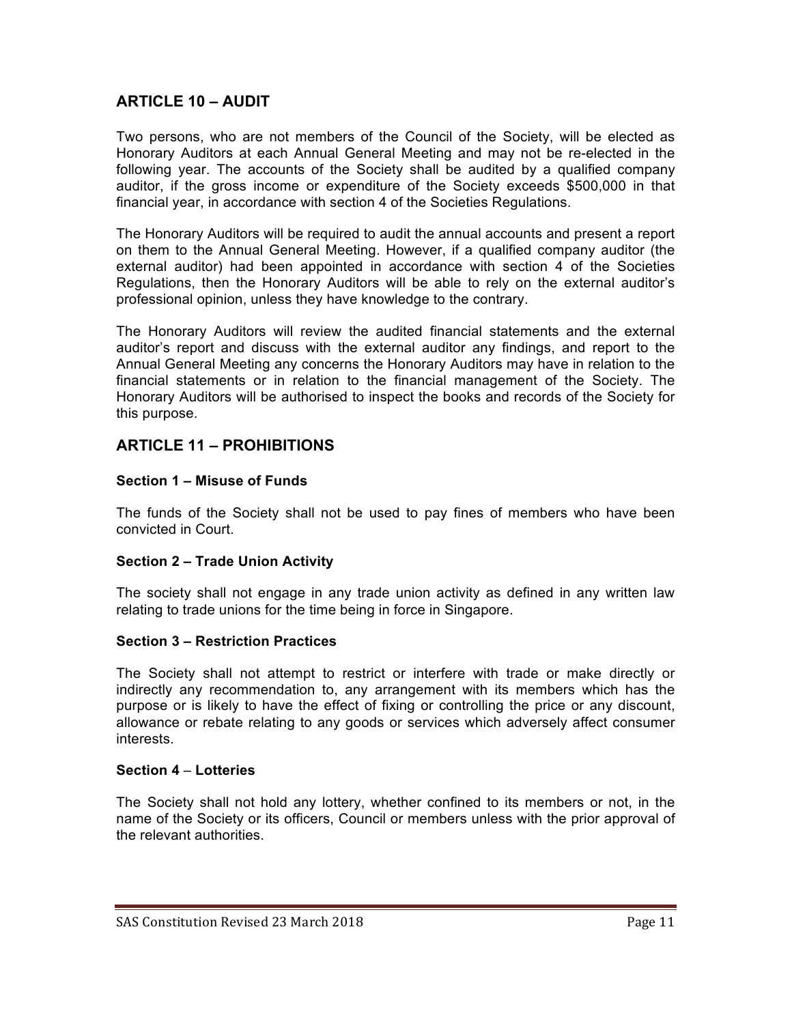# **ARTICLE 10 – AUDIT**

Two persons, who are not members of the Council of the Society, will be elected as Honorary Auditors at each Annual General Meeting and may not be re-elected in the following year. The accounts of the Society shall be audited by a qualified company auditor, if the gross income or expenditure of the Society exceeds \$500,000 in that financial year, in accordance with section 4 of the Societies Regulations.

The Honorary Auditors will be required to audit the annual accounts and present a report on them to the Annual General Meeting. However, if a qualified company auditor (the external auditor) had been appointed in accordance with section 4 of the Societies Regulations, then the Honorary Auditors will be able to rely on the external auditor's professional opinion, unless they have knowledge to the contrary.

The Honorary Auditors will review the audited financial statements and the external auditor's report and discuss with the external auditor any findings, and report to the Annual General Meeting any concerns the Honorary Auditors may have in relation to the financial statements or in relation to the financial management of the Society. The Honorary Auditors will be authorised to inspect the books and records of the Society for this purpose.

# **ARTICLE 11 – PROHIBITIONS**

#### **Section 1 – Misuse of Funds**

The funds of the Society shall not be used to pay fines of members who have been convicted in Court.

### **Section 2 – Trade Union Activity**

The society shall not engage in any trade union activity as defined in any written law relating to trade unions for the time being in force in Singapore.

#### **Section 3 – Restriction Practices**

The Society shall not attempt to restrict or interfere with trade or make directly or indirectly any recommendation to, any arrangement with its members which has the purpose or is likely to have the effect of fixing or controlling the price or any discount, allowance or rebate relating to any goods or services which adversely affect consumer interests.

#### **Section 4** – **Lotteries**

The Society shall not hold any lottery, whether confined to its members or not, in the name of the Society or its officers, Council or members unless with the prior approval of the relevant authorities.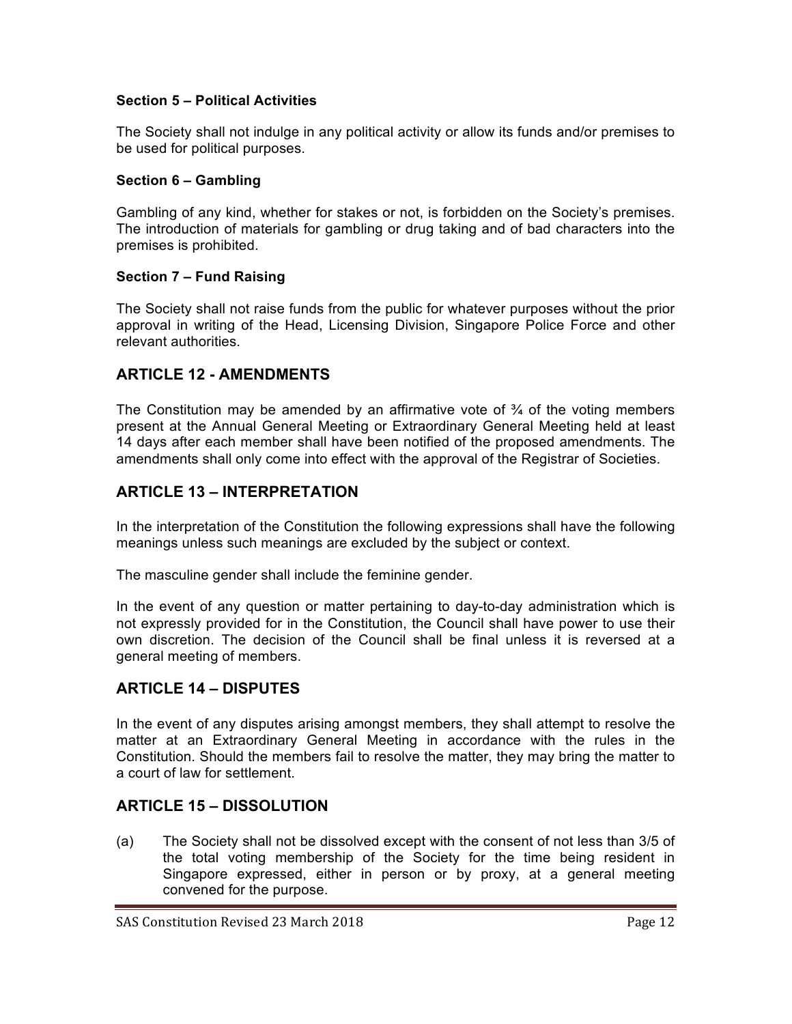# **Section 5 – Political Activities**

The Society shall not indulge in any political activity or allow its funds and/or premises to be used for political purposes.

### **Section 6 – Gambling**

Gambling of any kind, whether for stakes or not, is forbidden on the Society's premises. The introduction of materials for gambling or drug taking and of bad characters into the premises is prohibited.

### **Section 7 – Fund Raising**

The Society shall not raise funds from the public for whatever purposes without the prior approval in writing of the Head, Licensing Division, Singapore Police Force and other relevant authorities.

## **ARTICLE 12 - AMENDMENTS**

The Constitution may be amended by an affirmative vote of  $\frac{3}{4}$  of the voting members present at the Annual General Meeting or Extraordinary General Meeting held at least 14 days after each member shall have been notified of the proposed amendments. The amendments shall only come into effect with the approval of the Registrar of Societies.

# **ARTICLE 13 – INTERPRETATION**

In the interpretation of the Constitution the following expressions shall have the following meanings unless such meanings are excluded by the subject or context.

The masculine gender shall include the feminine gender.

In the event of any question or matter pertaining to day-to-day administration which is not expressly provided for in the Constitution, the Council shall have power to use their own discretion. The decision of the Council shall be final unless it is reversed at a general meeting of members.

# **ARTICLE 14 – DISPUTES**

In the event of any disputes arising amongst members, they shall attempt to resolve the matter at an Extraordinary General Meeting in accordance with the rules in the Constitution. Should the members fail to resolve the matter, they may bring the matter to a court of law for settlement.

# **ARTICLE 15 – DISSOLUTION**

(a) The Society shall not be dissolved except with the consent of not less than 3/5 of the total voting membership of the Society for the time being resident in Singapore expressed, either in person or by proxy, at a general meeting convened for the purpose.